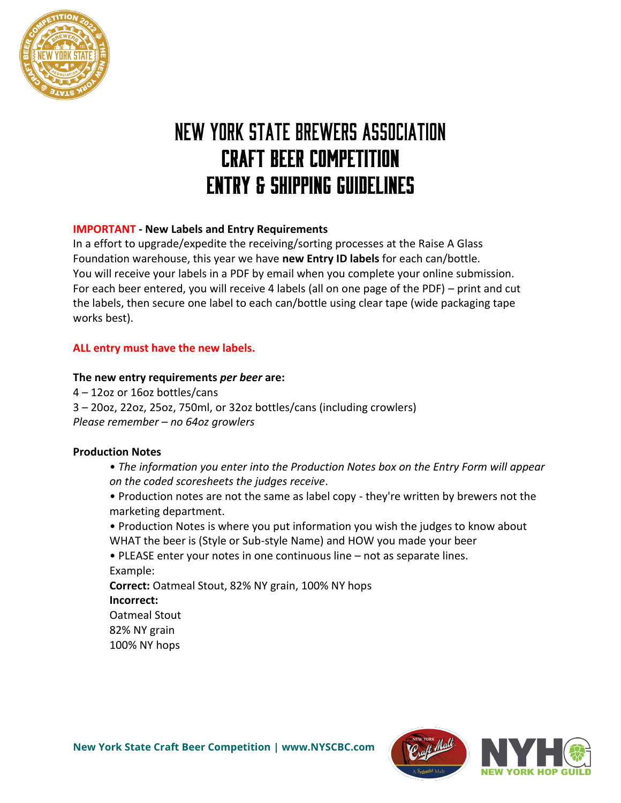

# **NEW YORK STATE BREWERS ASSOCIATION CRAFT BEER COMPETITION ENTRY & SHIPPING GUIDELINES**

### **IMPORTANT - New Labels and Entry Requirements**

In a effort to upgrade/expedite the receiving/sorting processes at the Raise A Glass Foundation warehouse, this year we have **new Entry ID labels** for each can/bottle. You will receive your labels in a PDF by email when you complete your online submission. For each beer entered, you will receive 4 labels (all on one page of the PDF) – print and cut the labels, then secure one label to each can/bottle using clear tape (wide packaging tape works best).

#### **ALL entry must have the new labels.**

#### **The new entry requirements** *per beer* **are:**

4 – 12oz or 16oz bottles/cans 3 – 20oz, 22oz, 25oz, 750ml, or 32oz bottles/cans (including crowlers) *Please remember – no 64oz growlers*

#### **Production Notes**

- *The information you enter into the Production Notes box on the Entry Form will appear on the coded scoresheets the judges receive*.
- Production notes are not the same as label copy they're written by brewers not the marketing department.
- Production Notes is where you put information you wish the judges to know about WHAT the beer is (Style or Sub-style Name) and HOW you made your beer

• PLEASE enter your notes in one continuous line – not as separate lines. Example:

**Correct:** Oatmeal Stout, 82% NY grain, 100% NY hops **Incorrect:** Oatmeal Stout 82% NY grain 100% NY hops